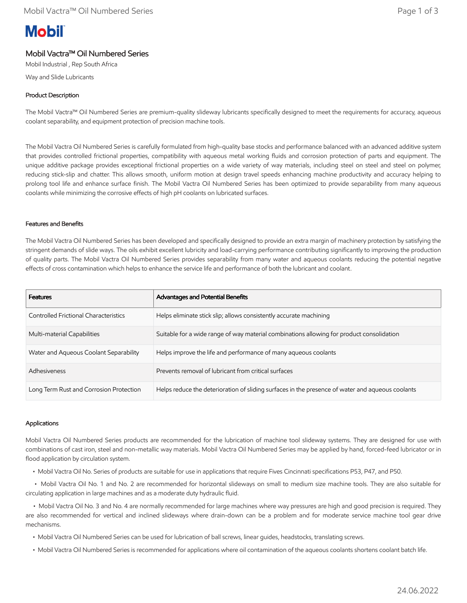# **Mobil**

## Mobil Vactra™ Oil Numbered Series

Mobil Industrial , Rep South Africa

Way and Slide Lubricants

### Product Description

The Mobil Vactra™ Oil Numbered Series are premium-quality slideway lubricants specifically designed to meet the requirements for accuracy, aqueous coolant separability, and equipment protection of precision machine tools.

The Mobil Vactra Oil Numbered Series is carefully formulated from high-quality base stocks and performance balanced with an advanced additive system that provides controlled frictional properties, compatibility with aqueous metal working fluids and corrosion protection of parts and equipment. The unique additive package provides exceptional frictional properties on a wide variety of way materials, including steel on steel and steel on polymer, reducing stick-slip and chatter. This allows smooth, uniform motion at design travel speeds enhancing machine productivity and accuracy helping to prolong tool life and enhance surface finish. The Mobil Vactra Oil Numbered Series has been optimized to provide separability from many aqueous coolants while minimizing the corrosive effects of high pH coolants on lubricated surfaces.

#### Features and Benefits

The Mobil Vactra Oil Numbered Series has been developed and specifically designed to provide an extra margin of machinery protection by satisfying the stringent demands of slide ways. The oils exhibit excellent lubricity and load-carrying performance contributing significantly to improving the production of quality parts. The Mobil Vactra Oil Numbered Series provides separability from many water and aqueous coolants reducing the potential negative effects of cross contamination which helps to enhance the service life and performance of both the lubricant and coolant.

| <b>Features</b>                              | <b>Advantages and Potential Benefits</b>                                                         |
|----------------------------------------------|--------------------------------------------------------------------------------------------------|
| <b>Controlled Frictional Characteristics</b> | Helps eliminate stick slip; allows consistently accurate machining                               |
| Multi-material Capabilities                  | Suitable for a wide range of way material combinations allowing for product consolidation        |
| Water and Aqueous Coolant Separability       | Helps improve the life and performance of many aqueous coolants                                  |
| Adhesiveness                                 | Prevents removal of lubricant from critical surfaces                                             |
| Long Term Rust and Corrosion Protection      | Helps reduce the deterioration of sliding surfaces in the presence of water and aqueous coolants |

#### Applications

Mobil Vactra Oil Numbered Series products are recommended for the lubrication of machine tool slideway systems. They are designed for use with combinations of cast iron, steel and non-metallic way materials. Mobil Vactra Oil Numbered Series may be applied by hand, forced-feed lubricator or in flood application by circulation system.

• Mobil Vactra Oil No. Series of products are suitable for use in applications that require Fives Cincinnati specifications P53, P47, and P50.

 • Mobil Vactra Oil No. 1 and No. 2 are recommended for horizontal slideways on small to medium size machine tools. They are also suitable for circulating application in large machines and as a moderate duty hydraulic fluid.

 • Mobil Vactra Oil No. 3 and No. 4 are normally recommended for large machines where way pressures are high and good precision is required. They are also recommended for vertical and inclined slideways where drain-down can be a problem and for moderate service machine tool gear drive mechanisms.

- Mobil Vactra Oil Numbered Series can be used for lubrication of ball screws, linear guides, headstocks, translating screws.
- Mobil Vactra Oil Numbered Series is recommended for applications where oil contamination of the aqueous coolants shortens coolant batch life.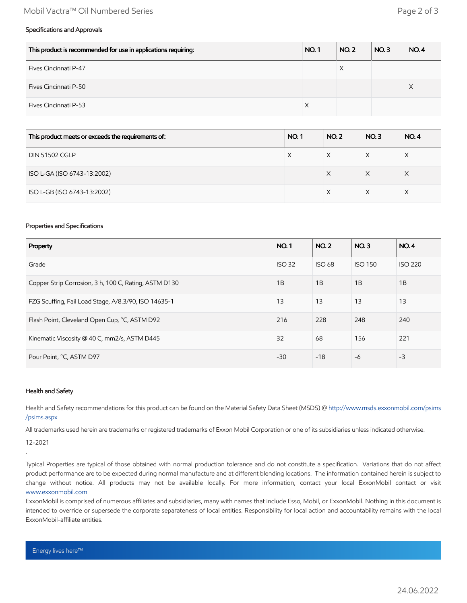#### Mobil Vactra™ Oil Numbered Series Page 2 of 3

#### Specifications and Approvals

| This product is recommended for use in applications requiring: | <b>NO.1</b> | <b>NO. 2</b> | NO.3 | <b>NO.4</b> |
|----------------------------------------------------------------|-------------|--------------|------|-------------|
| Fives Cincinnati P-47                                          |             | X            |      |             |
| Fives Cincinnati P-50                                          |             |              |      |             |
| <b>Fives Cincinnati P-53</b>                                   | X           |              |      |             |

| This product meets or exceeds the requirements of: | <b>NO.1</b> | <b>NO.2</b> | <b>NO.3</b> | <b>NO.4</b> |
|----------------------------------------------------|-------------|-------------|-------------|-------------|
| <b>DIN 51502 CGLP</b>                              | Х           |             | X           |             |
| ISO L-GA (ISO 6743-13:2002)                        |             | X           | X           | X           |
| ISO L-GB (ISO 6743-13:2002)                        |             |             |             |             |

#### Properties and Specifications

| Property                                              |       | <b>NO.2</b>   | NO.3           | <b>NO.4</b>    |
|-------------------------------------------------------|-------|---------------|----------------|----------------|
| Grade                                                 |       | <b>ISO 68</b> | <b>ISO 150</b> | <b>ISO 220</b> |
| Copper Strip Corrosion, 3 h, 100 C, Rating, ASTM D130 |       | 1B            | 1B             | 1B             |
| FZG Scuffing, Fail Load Stage, A/8.3/90, ISO 14635-1  |       | 13            | 13             | 13             |
| Flash Point, Cleveland Open Cup, °C, ASTM D92         | 216   | 228           | 248            | 240            |
| Kinematic Viscosity @ 40 C, mm2/s, ASTM D445          |       | 68            | 156            | 221            |
| Pour Point, °C, ASTM D97                              | $-30$ | $-18$         | $-6$           | $-3$           |

#### Health and Safety

Health and Safety recommendations for this product can be found on the Material Safety Data Sheet (MSDS) @ [http://www.msds.exxonmobil.com/psims](http://www.msds.exxonmobil.com/psims/psims.aspx) /psims.aspx

All trademarks used herein are trademarks or registered trademarks of Exxon Mobil Corporation or one of its subsidiaries unless indicated otherwise.

12-2021

.

Typical Properties are typical of those obtained with normal production tolerance and do not constitute a specification. Variations that do not affect product performance are to be expected during normal manufacture and at different blending locations. The information contained herein is subject to change without notice. All products may not be available locally. For more information, contact your local ExxonMobil contact or visit [www.exxonmobil.com](http://www.exxonmobil.com/)

ExxonMobil is comprised of numerous affiliates and subsidiaries, many with names that include Esso, Mobil, or ExxonMobil. Nothing in this document is intended to override or supersede the corporate separateness of local entities. Responsibility for local action and accountability remains with the local ExxonMobil-affiliate entities.